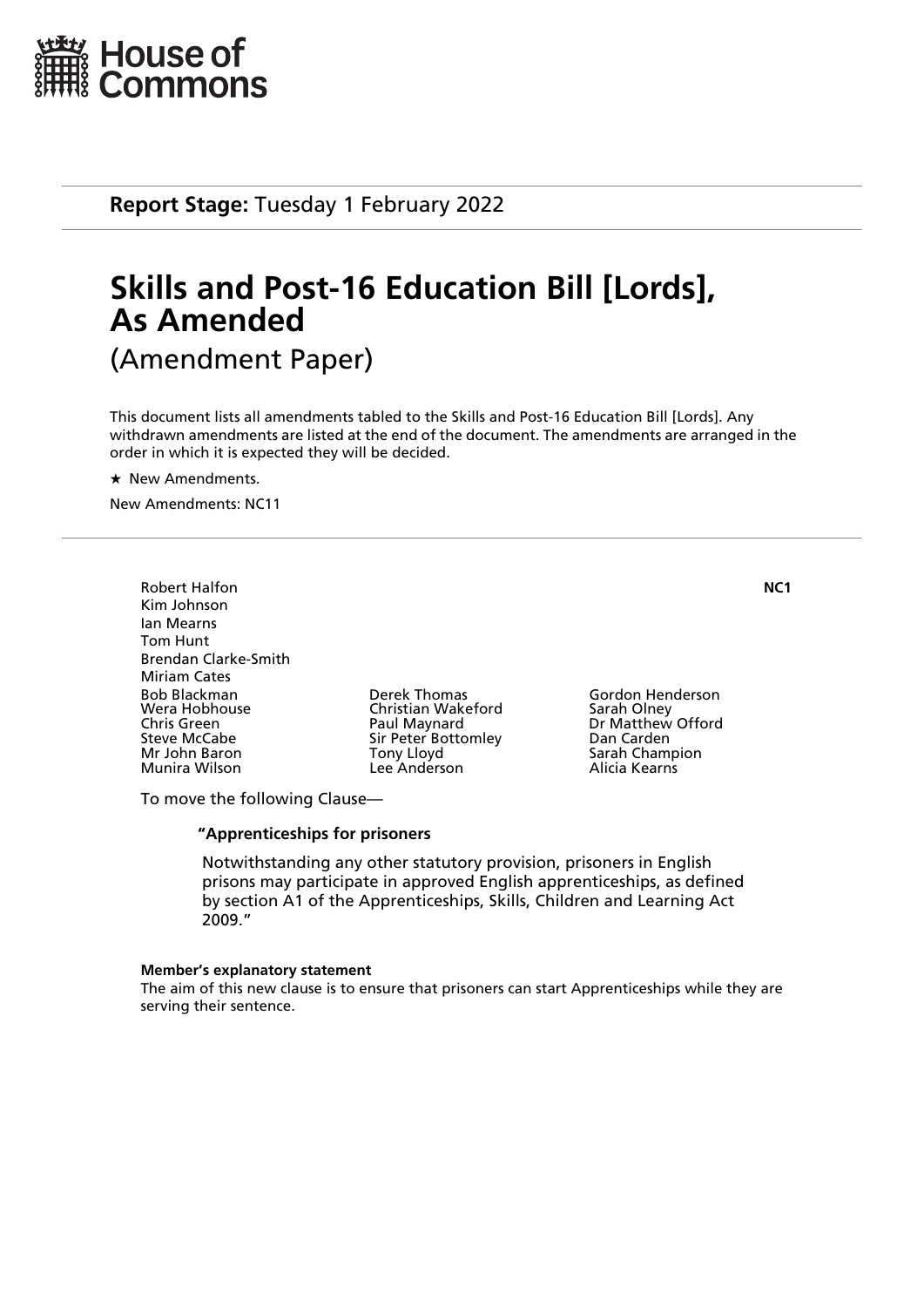

**Report Stage:** Tuesday 1 February 2022

# **Skills and Post-16 Education Bill [Lords], As Amended** (Amendment Paper)

This document lists all amendments tabled to the Skills and Post-16 Education Bill [Lords]. Any withdrawn amendments are listed at the end of the document. The amendments are arranged in the order in which it is expected they will be decided.

 $\star$  New Amendments.

New Amendments: NC11

Robert Halfon **NC1** Kim Johnson Ian Mearns Tom Hunt Brendan Clarke-Smith Miriam Cates Bob Blackman Derek Thomas Gordon Henderson Wera Hobhouse Christian Wakeford<br>
Chris Green Christian Olau Paul Maynard Chris Green **Paul Maynard** Dr Matthew Offord<br>
Sir Peter Bottomley Dan Carden<br>
Dan Carden Steve McCabe Sir Peter Bottomley<br>
Mr John Baron Sir Pony Lloyd

Tony Lloyd **Sarah Champion**<br>
Lee Anderson **Maroon** Alicia Kearns Munira Wilson Lee Anderson Alicia Kearns

To move the following Clause—

#### **"Apprenticeships for prisoners**

 Notwithstanding any other statutory provision, prisoners in English prisons may participate in approved English apprenticeships, as defined by section A1 of the Apprenticeships, Skills, Children and Learning Act 2009."

#### **Member's explanatory statement**

The aim of this new clause is to ensure that prisoners can start Apprenticeships while they are serving their sentence.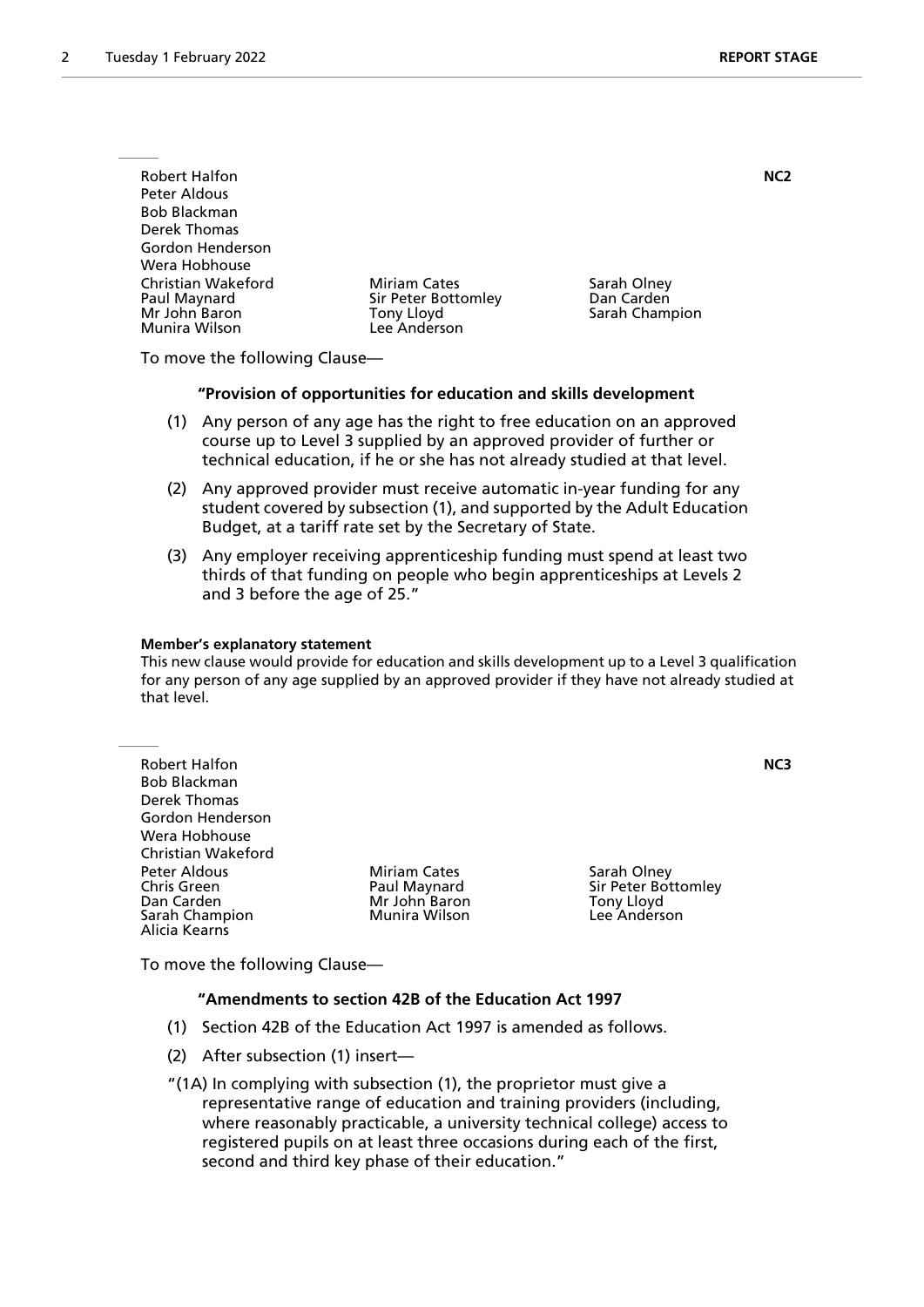| <b>Robert Halfon</b>                                                 |                                                                                 |                                             | NC <sub>2</sub> |
|----------------------------------------------------------------------|---------------------------------------------------------------------------------|---------------------------------------------|-----------------|
| Peter Aldous                                                         |                                                                                 |                                             |                 |
| Bob Blackman                                                         |                                                                                 |                                             |                 |
| Derek Thomas                                                         |                                                                                 |                                             |                 |
| Gordon Henderson                                                     |                                                                                 |                                             |                 |
| Wera Hobhouse                                                        |                                                                                 |                                             |                 |
| Christian Wakeford<br>Paul Maynard<br>Mr John Baron<br>Munira Wilson | <b>Miriam Cates</b><br>Sir Peter Bottomley<br><b>Tony Lloyd</b><br>Lee Anderson | Sarah Olney<br>Dan Carden<br>Sarah Champion |                 |
|                                                                      |                                                                                 |                                             |                 |

To move the following Clause—

#### **"Provision of opportunities for education and skills development**

- (1) Any person of any age has the right to free education on an approved course up to Level 3 supplied by an approved provider of further or technical education, if he or she has not already studied at that level.
- (2) Any approved provider must receive automatic in-year funding for any student covered by subsection (1), and supported by the Adult Education Budget, at a tariff rate set by the Secretary of State.
- (3) Any employer receiving apprenticeship funding must spend at least two thirds of that funding on people who begin apprenticeships at Levels 2 and 3 before the age of 25."

#### **Member's explanatory statement**

This new clause would provide for education and skills development up to a Level 3 qualification for any person of any age supplied by an approved provider if they have not already studied at that level.

| <b>Robert Halfon</b>                                                                |                                                                       |                                                                  | NC3 |
|-------------------------------------------------------------------------------------|-----------------------------------------------------------------------|------------------------------------------------------------------|-----|
| <b>Bob Blackman</b>                                                                 |                                                                       |                                                                  |     |
| Derek Thomas                                                                        |                                                                       |                                                                  |     |
| Gordon Henderson                                                                    |                                                                       |                                                                  |     |
| Wera Hobhouse                                                                       |                                                                       |                                                                  |     |
| Christian Wakeford                                                                  |                                                                       |                                                                  |     |
| Peter Aldous<br><b>Chris Green</b><br>Dan Carden<br>Sarah Champion<br>Alicia Kearns | <b>Miriam Cates</b><br>Paul Maynard<br>Mr John Baron<br>Munira Wilson | Sarah Olney<br>Sir Peter Bottomley<br>Tony Lloyd<br>Lee Anderson |     |

To move the following Clause—

## **"Amendments to section 42B of the Education Act 1997**

- (1) Section 42B of the Education Act 1997 is amended as follows.
- (2) After subsection (1) insert—
- "(1A) In complying with subsection (1), the proprietor must give a representative range of education and training providers (including, where reasonably practicable, a university technical college) access to registered pupils on at least three occasions during each of the first, second and third key phase of their education."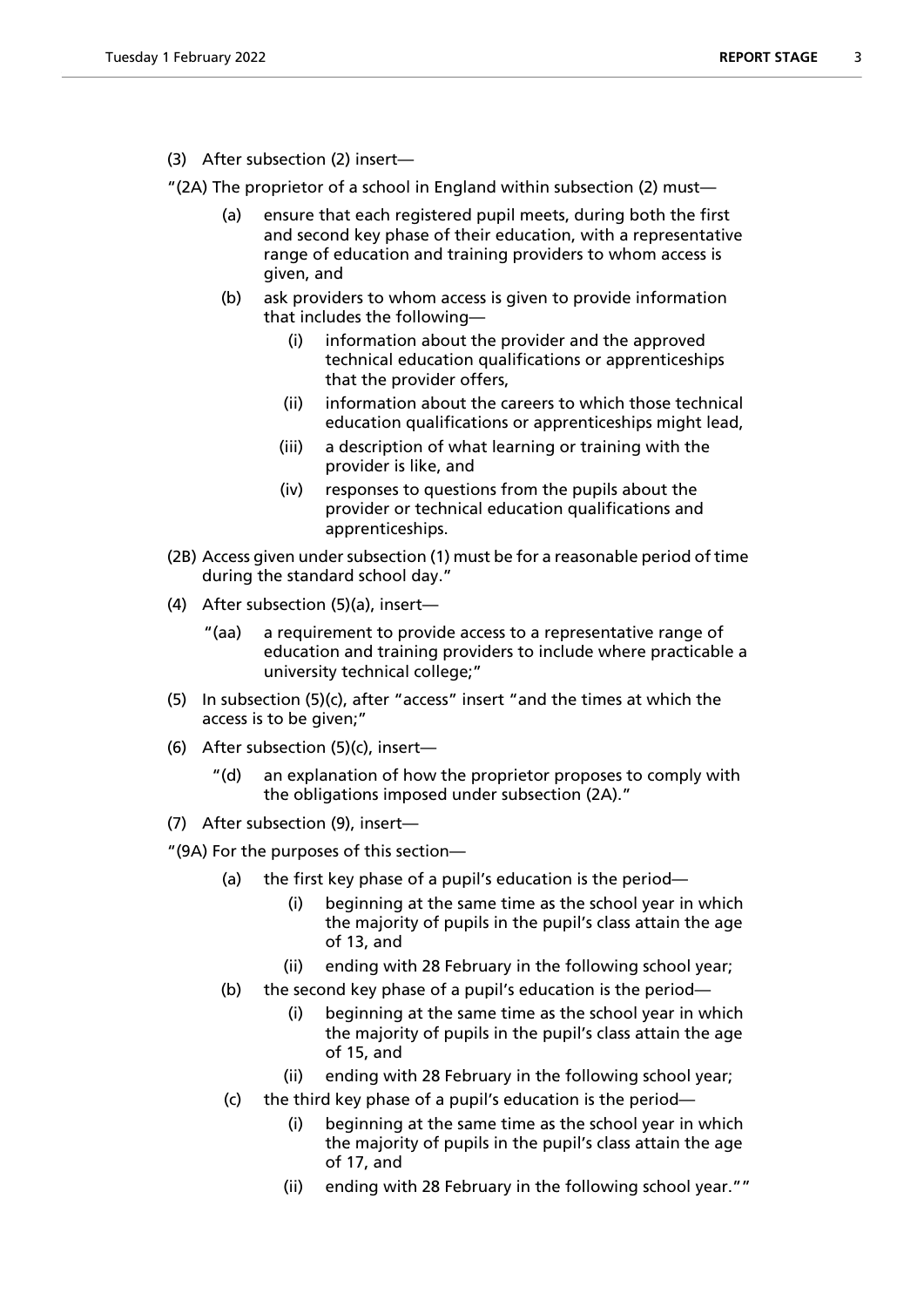(3) After subsection (2) insert—

"(2A) The proprietor of a school in England within subsection (2) must—

- (a) ensure that each registered pupil meets, during both the first and second key phase of their education, with a representative range of education and training providers to whom access is given, and
- (b) ask providers to whom access is given to provide information that includes the following—
	- (i) information about the provider and the approved technical education qualifications or apprenticeships that the provider offers,
	- (ii) information about the careers to which those technical education qualifications or apprenticeships might lead,
	- (iii) a description of what learning or training with the provider is like, and
	- (iv) responses to questions from the pupils about the provider or technical education qualifications and apprenticeships.
- (2B) Access given under subsection (1) must be for a reasonable period of time during the standard school day."
- (4) After subsection (5)(a), insert—
	- "(aa) a requirement to provide access to a representative range of education and training providers to include where practicable a university technical college;"
- (5) In subsection (5)(c), after "access" insert "and the times at which the access is to be given;"
- (6) After subsection (5)(c), insert
	- an explanation of how the proprietor proposes to comply with the obligations imposed under subsection (2A)."
- (7) After subsection (9), insert—

"(9A) For the purposes of this section—

- (a) the first key phase of a pupil's education is the period—
	- (i) beginning at the same time as the school year in which the majority of pupils in the pupil's class attain the age of 13, and
	- (ii) ending with 28 February in the following school year;
- (b) the second key phase of a pupil's education is the period—
	- (i) beginning at the same time as the school year in which the majority of pupils in the pupil's class attain the age of 15, and
	- (ii) ending with 28 February in the following school year;
- (c) the third key phase of a pupil's education is the period
	- beginning at the same time as the school year in which the majority of pupils in the pupil's class attain the age of 17, and
	- (ii) ending with 28 February in the following school year.""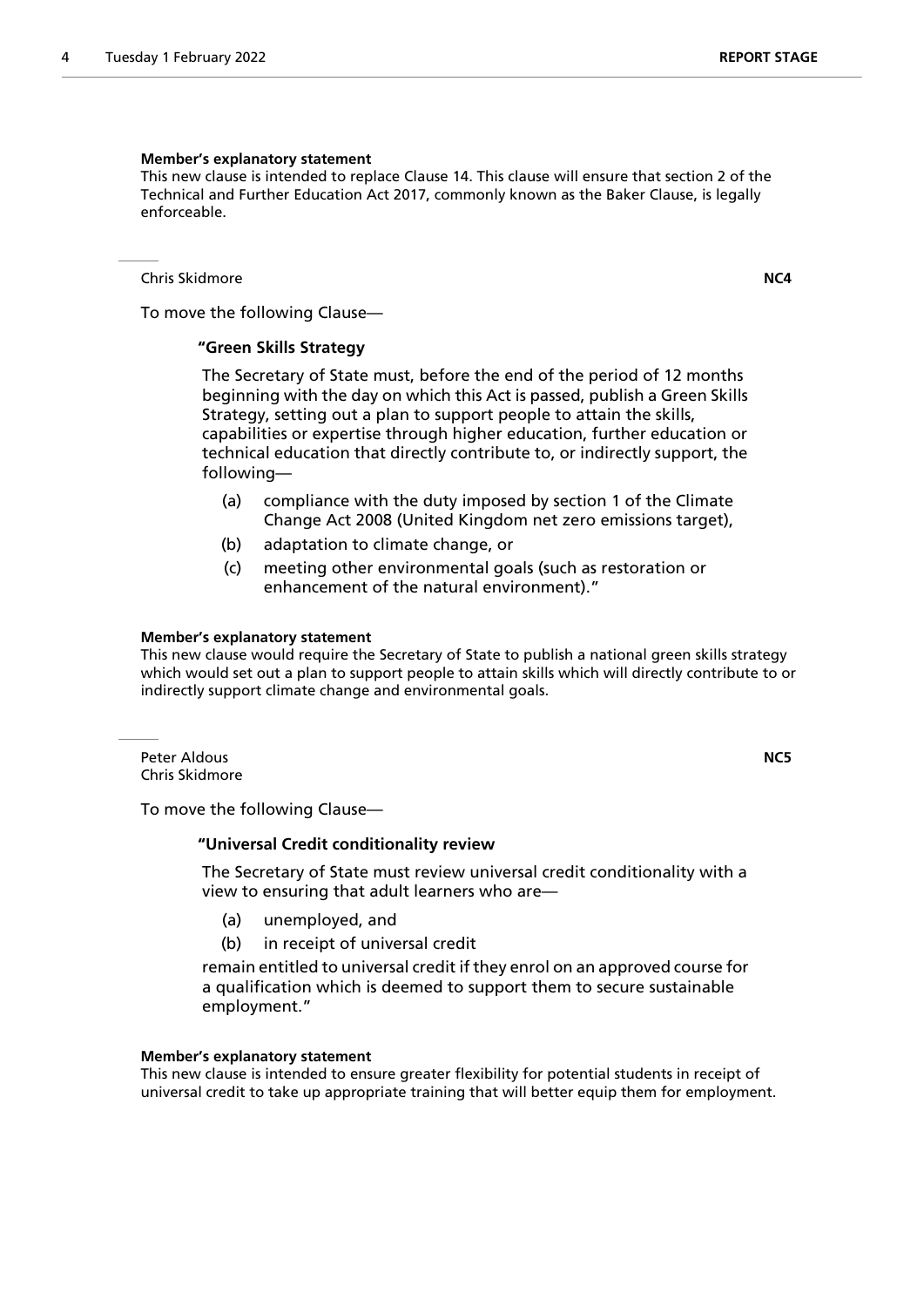#### **Member's explanatory statement**

This new clause is intended to replace Clause 14. This clause will ensure that section 2 of the Technical and Further Education Act 2017, commonly known as the Baker Clause, is legally enforceable.

Chris Skidmore **NC4**

To move the following Clause—

#### **"Green Skills Strategy**

 The Secretary of State must, before the end of the period of 12 months beginning with the day on which this Act is passed, publish a Green Skills Strategy, setting out a plan to support people to attain the skills, capabilities or expertise through higher education, further education or technical education that directly contribute to, or indirectly support, the following—

- (a) compliance with the duty imposed by section 1 of the Climate Change Act 2008 (United Kingdom net zero emissions target),
- (b) adaptation to climate change, or
- (c) meeting other environmental goals (such as restoration or enhancement of the natural environment)."

#### **Member's explanatory statement**

This new clause would require the Secretary of State to publish a national green skills strategy which would set out a plan to support people to attain skills which will directly contribute to or indirectly support climate change and environmental goals.

Peter Aldous **NC5** Chris Skidmore

To move the following Clause—

#### **"Universal Credit conditionality review**

 The Secretary of State must review universal credit conditionality with a view to ensuring that adult learners who are—

- (a) unemployed, and
- (b) in receipt of universal credit

remain entitled to universal credit if they enrol on an approved course for a qualification which is deemed to support them to secure sustainable employment."

#### **Member's explanatory statement**

This new clause is intended to ensure greater flexibility for potential students in receipt of universal credit to take up appropriate training that will better equip them for employment.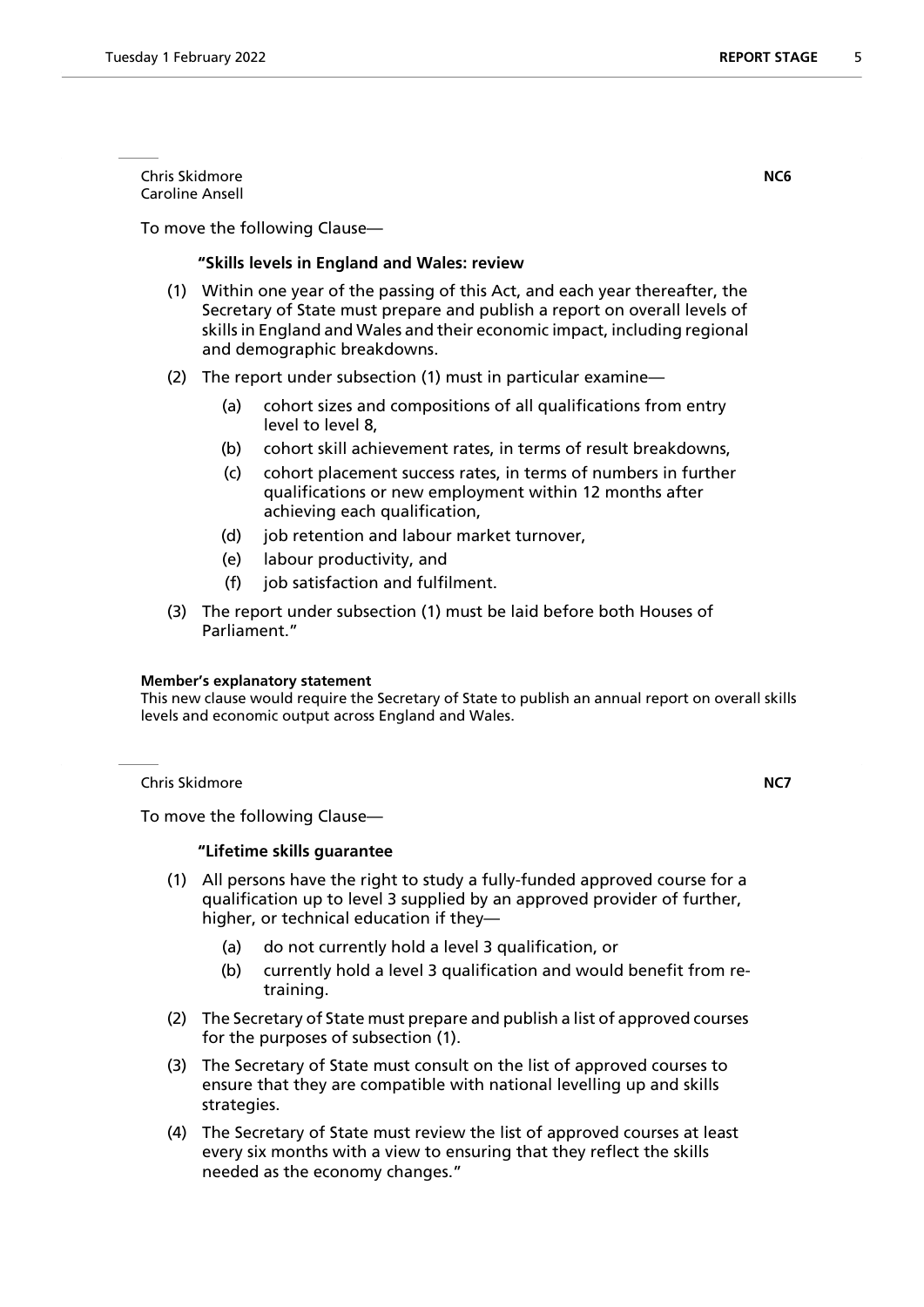To move the following Clause—

# **"Skills levels in England and Wales: review**

- (1) Within one year of the passing of this Act, and each year thereafter, the Secretary of State must prepare and publish a report on overall levels of skills in England and Wales and their economic impact, including regional and demographic breakdowns.
- (2) The report under subsection (1) must in particular examine—
	- (a) cohort sizes and compositions of all qualifications from entry level to level 8,
	- (b) cohort skill achievement rates, in terms of result breakdowns,
	- (c) cohort placement success rates, in terms of numbers in further qualifications or new employment within 12 months after achieving each qualification,
	- (d) job retention and labour market turnover,
	- (e) labour productivity, and
	- (f) job satisfaction and fulfilment.
- (3) The report under subsection (1) must be laid before both Houses of Parliament."

# **Member's explanatory statement**

This new clause would require the Secretary of State to publish an annual report on overall skills levels and economic output across England and Wales.

Chris Skidmore **NC7**

To move the following Clause—

# **"Lifetime skills guarantee**

- (1) All persons have the right to study a fully-funded approved course for a qualification up to level 3 supplied by an approved provider of further, higher, or technical education if they—
	- (a) do not currently hold a level 3 qualification, or
	- (b) currently hold a level 3 qualification and would benefit from retraining.
- (2) The Secretary of State must prepare and publish a list of approved courses for the purposes of subsection (1).
- (3) The Secretary of State must consult on the list of approved courses to ensure that they are compatible with national levelling up and skills strategies.
- (4) The Secretary of State must review the list of approved courses at least every six months with a view to ensuring that they reflect the skills needed as the economy changes."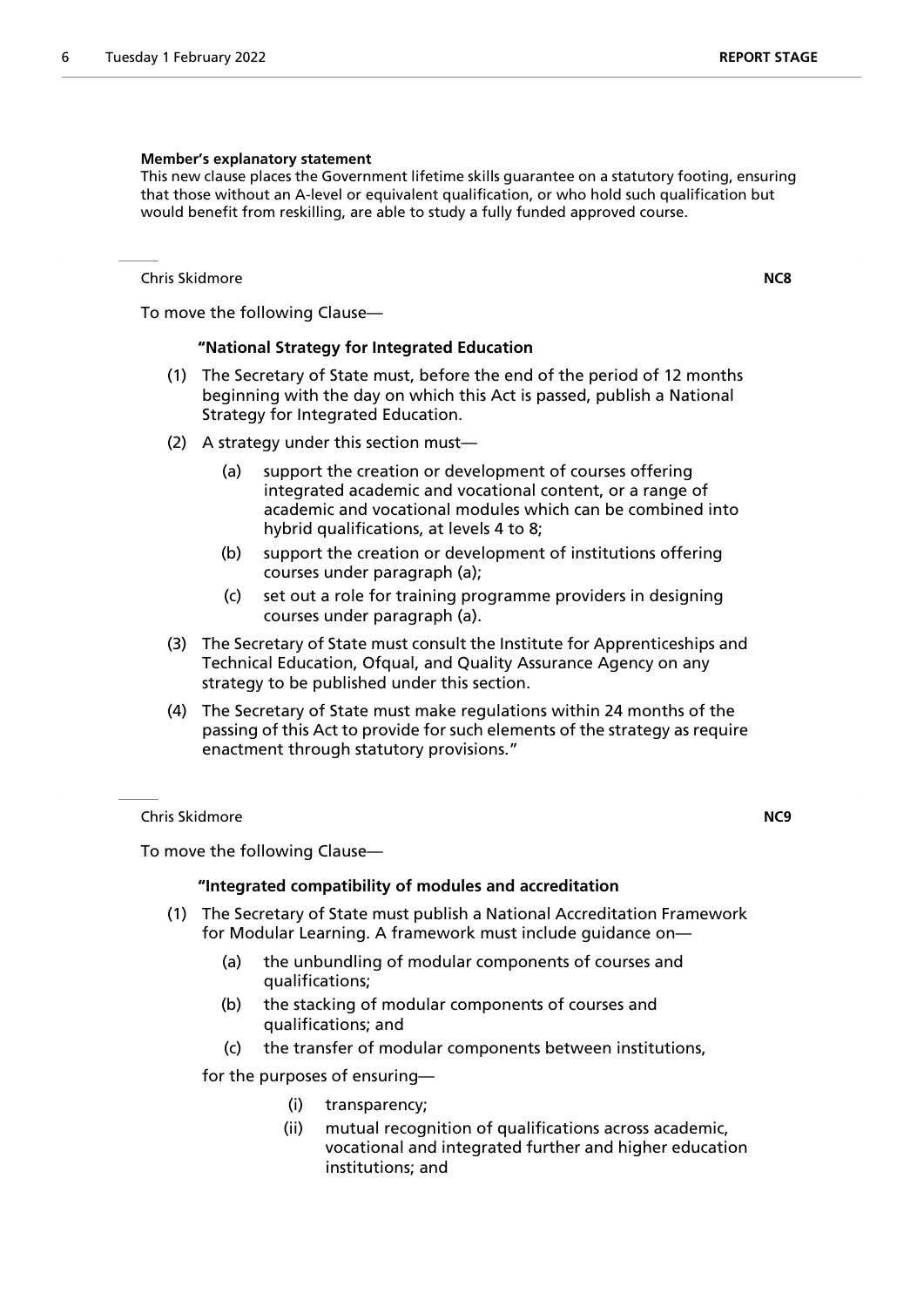#### **Member's explanatory statement**

This new clause places the Government lifetime skills guarantee on a statutory footing, ensuring that those without an A-level or equivalent qualification, or who hold such qualification but would benefit from reskilling, are able to study a fully funded approved course.

Chris Skidmore **NC8**

To move the following Clause—

## **"National Strategy for Integrated Education**

- (1) The Secretary of State must, before the end of the period of 12 months beginning with the day on which this Act is passed, publish a National Strategy for Integrated Education.
- (2) A strategy under this section must—
	- (a) support the creation or development of courses offering integrated academic and vocational content, or a range of academic and vocational modules which can be combined into hybrid qualifications, at levels 4 to 8;
	- (b) support the creation or development of institutions offering courses under paragraph (a);
	- (c) set out a role for training programme providers in designing courses under paragraph (a).
- (3) The Secretary of State must consult the Institute for Apprenticeships and Technical Education, Ofqual, and Quality Assurance Agency on any strategy to be published under this section.
- (4) The Secretary of State must make regulations within 24 months of the passing of this Act to provide for such elements of the strategy as require enactment through statutory provisions."

Chris Skidmore **NC9**

To move the following Clause—

# **"Integrated compatibility of modules and accreditation**

- (1) The Secretary of State must publish a National Accreditation Framework for Modular Learning. A framework must include guidance on—
	- (a) the unbundling of modular components of courses and qualifications;
	- (b) the stacking of modular components of courses and qualifications; and
	- (c) the transfer of modular components between institutions,

for the purposes of ensuring—

- (i) transparency;
- (ii) mutual recognition of qualifications across academic, vocational and integrated further and higher education institutions; and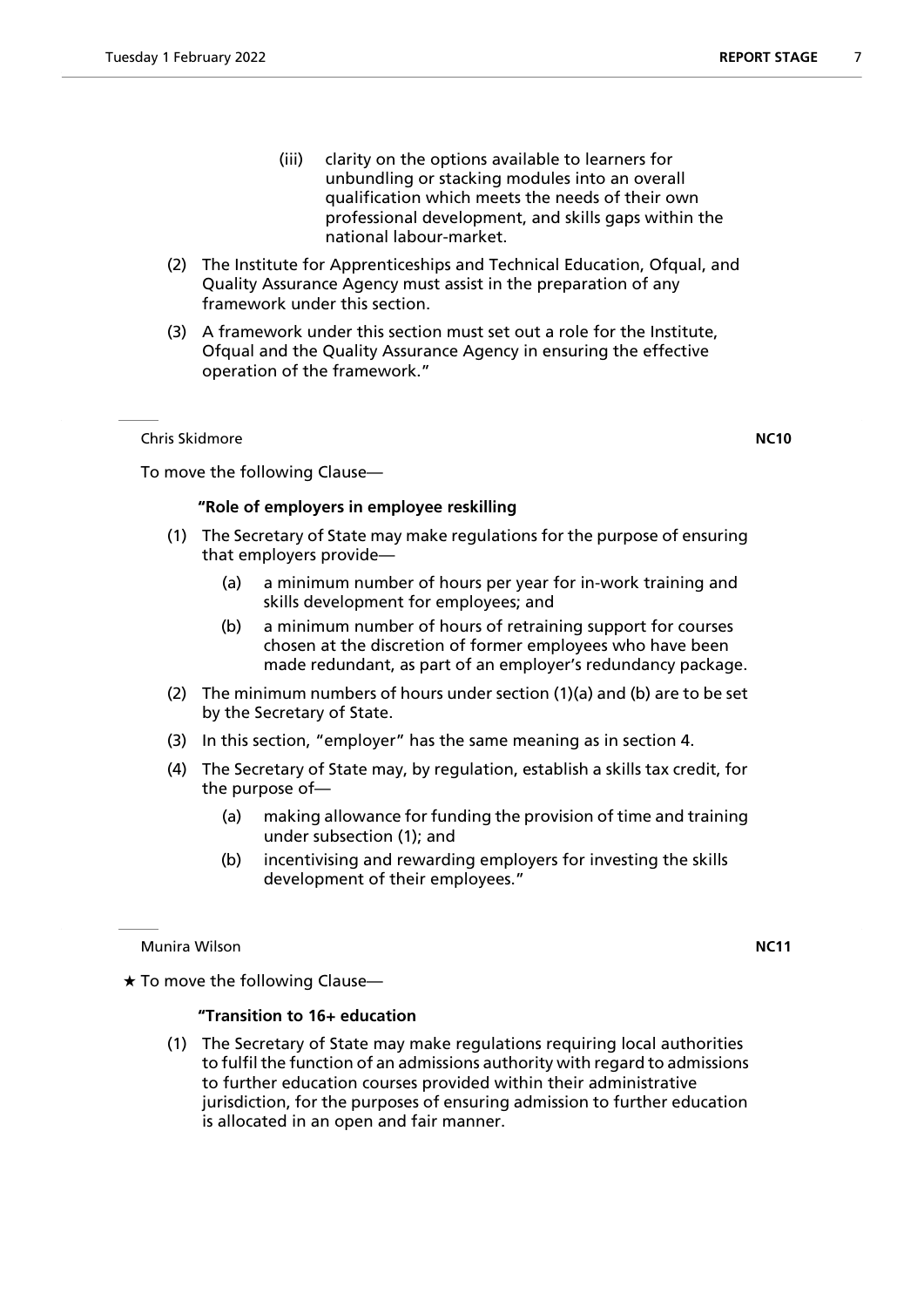- (iii) clarity on the options available to learners for unbundling or stacking modules into an overall qualification which meets the needs of their own professional development, and skills gaps within the national labour-market.
- (2) The Institute for Apprenticeships and Technical Education, Ofqual, and Quality Assurance Agency must assist in the preparation of any framework under this section.
- (3) A framework under this section must set out a role for the Institute, Ofqual and the Quality Assurance Agency in ensuring the effective operation of the framework."

Chris Skidmore **NC10**

To move the following Clause—

# **"Role of employers in employee reskilling**

- (1) The Secretary of State may make regulations for the purpose of ensuring that employers provide—
	- (a) a minimum number of hours per year for in-work training and skills development for employees; and
	- (b) a minimum number of hours of retraining support for courses chosen at the discretion of former employees who have been made redundant, as part of an employer's redundancy package.
- (2) The minimum numbers of hours under section (1)(a) and (b) are to be set by the Secretary of State.
- (3) In this section, "employer" has the same meaning as in section 4.
- (4) The Secretary of State may, by regulation, establish a skills tax credit, for the purpose of—
	- (a) making allowance for funding the provision of time and training under subsection (1); and
	- (b) incentivising and rewarding employers for investing the skills development of their employees."

Munira Wilson **NC11**

 $\star$  To move the following Clause—

# **"Transition to 16+ education**

(1) The Secretary of State may make regulations requiring local authorities to fulfil the function of an admissions authority with regard to admissions to further education courses provided within their administrative jurisdiction, for the purposes of ensuring admission to further education is allocated in an open and fair manner.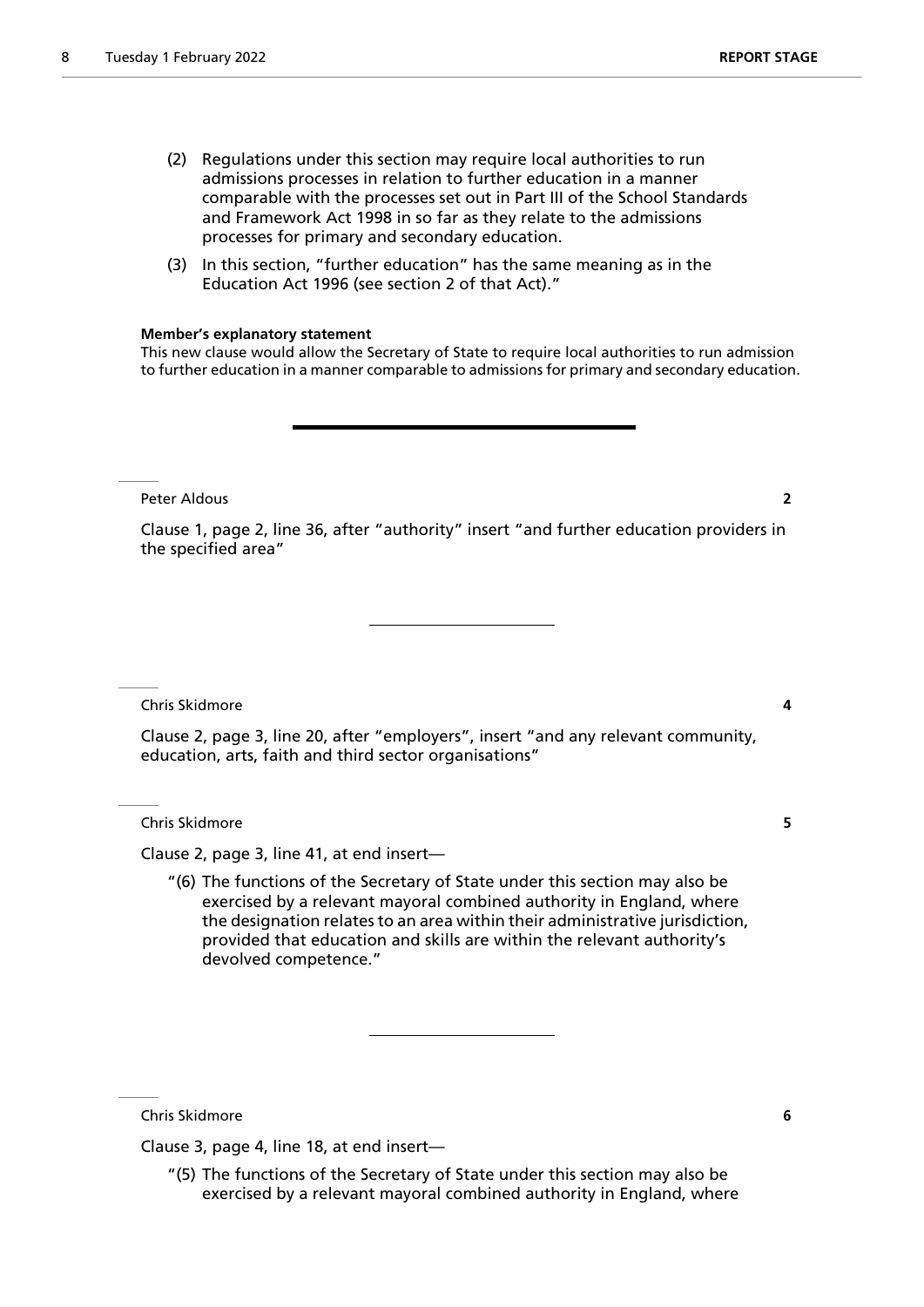- (2) Regulations under this section may require local authorities to run admissions processes in relation to further education in a manner comparable with the processes set out in Part III of the School Standards and Framework Act 1998 in so far as they relate to the admissions processes for primary and secondary education.
- (3) In this section, "further education" has the same meaning as in the Education Act 1996 (see section 2 of that Act)."

#### **Member's explanatory statement**

This new clause would allow the Secretary of State to require local authorities to run admission to further education in a manner comparable to admissions for primary and secondary education.

Peter Aldous **2**

Clause 1, page 2, line 36, after "authority" insert "and further education providers in the specified area"

Chris Skidmore **4**

Clause 2, page 3, line 20, after "employers", insert "and any relevant community, education, arts, faith and third sector organisations"

Chris Skidmore **5**

Clause 2, page 3, line 41, at end insert—

"(6) The functions of the Secretary of State under this section may also be exercised by a relevant mayoral combined authority in England, where the designation relates to an area within their administrative jurisdiction, provided that education and skills are within the relevant authority's devolved competence."

Chris Skidmore **6**

Clause 3, page 4, line 18, at end insert—

"(5) The functions of the Secretary of State under this section may also be exercised by a relevant mayoral combined authority in England, where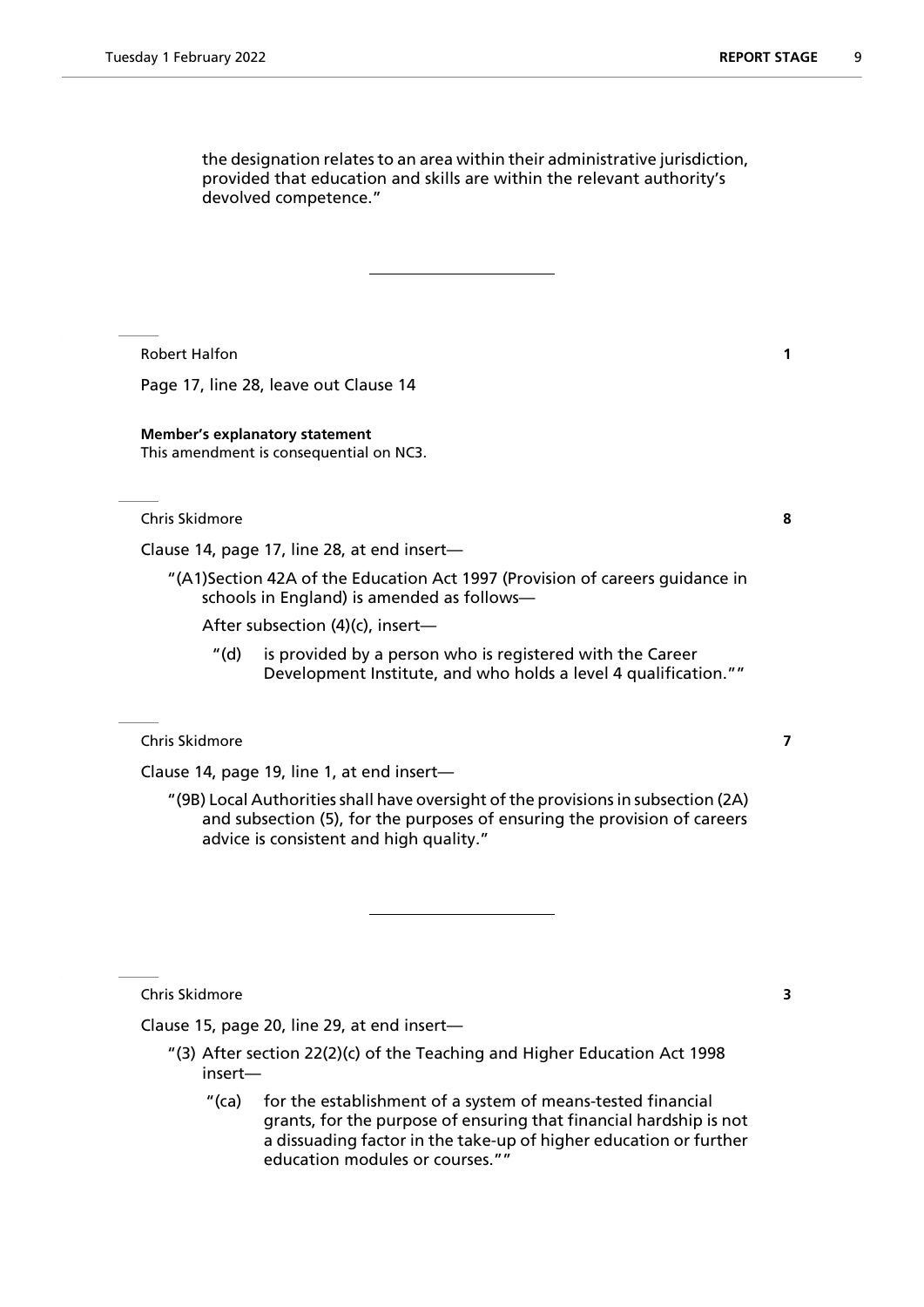the designation relates to an area within their administrative jurisdiction, provided that education and skills are within the relevant authority's devolved competence."

Robert Halfon **1** 

Page 17, line 28, leave out Clause 14

**Member's explanatory statement** This amendment is consequential on NC3.

Chris Skidmore **8**

Clause 14, page 17, line 28, at end insert—

"(A1)Section 42A of the Education Act 1997 (Provision of careers guidance in schools in England) is amended as follows—

After subsection (4)(c), insert—

"(d) is provided by a person who is registered with the Career Development Institute, and who holds a level 4 qualification.""

Chris Skidmore **7**

Clause 14, page 19, line 1, at end insert—

"(9B) Local Authorities shall have oversight of the provisions in subsection (2A) and subsection (5), for the purposes of ensuring the provision of careers advice is consistent and high quality."

Chris Skidmore **3**

Clause 15, page 20, line 29, at end insert—

- "(3) After section 22(2)(c) of the Teaching and Higher Education Act 1998 insert—
	- "(ca) for the establishment of a system of means-tested financial grants, for the purpose of ensuring that financial hardship is not a dissuading factor in the take-up of higher education or further education modules or courses.""